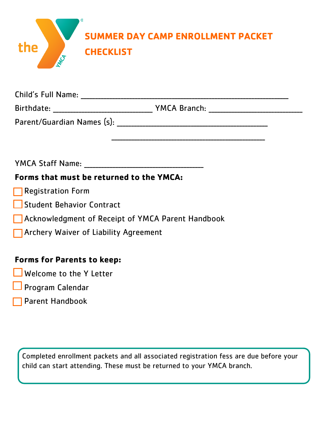| the | ®<br><b>SUMMER DAY CAMP ENROLLMENT PACKET</b><br><b>CHECKLIST</b> |
|-----|-------------------------------------------------------------------|
|     |                                                                   |

| Child's Full Name:         |                     |
|----------------------------|---------------------|
| Birthdate:                 | <b>YMCA Branch:</b> |
| Parent/Guardian Names (s): |                     |

\_\_\_\_\_\_\_\_\_\_\_\_\_\_\_\_\_\_\_\_\_\_\_\_\_\_\_\_\_\_\_\_\_\_\_\_\_\_\_\_\_\_\_\_\_\_\_\_\_\_\_\_\_\_

YMCA Staff Name: **WALLA** 

## **Forms that must be returned to the YMCA:**

- **Registration Form**
- Student Behavior Contract
- Acknowledgment of Receipt of YMCA Parent Handbook
- **T** Archery Waiver of Liability Agreement

### **Forms for Parents to keep:**

- **Welcome to the Y Letter**
- Program Calendar
- **Parent Handbook**

Completed enrollment packets and all associated registration fess are due before your child can start attending. These must be returned to your YMCA branch.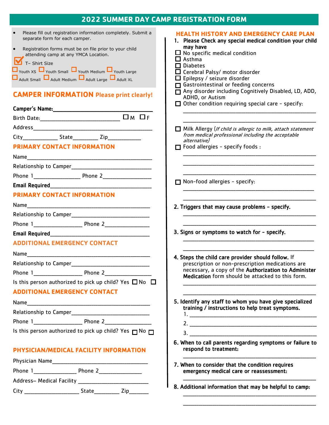| <b>2022 SUMMER DAY CAMP REGISTRATION FORM</b>                                                                                                                                                                                                                                                                                                                                                 |                                                                                                                                                                                                                                                                                                                                                                                                      |  |
|-----------------------------------------------------------------------------------------------------------------------------------------------------------------------------------------------------------------------------------------------------------------------------------------------------------------------------------------------------------------------------------------------|------------------------------------------------------------------------------------------------------------------------------------------------------------------------------------------------------------------------------------------------------------------------------------------------------------------------------------------------------------------------------------------------------|--|
| Please fill out registration information completely. Submit a<br>separate form for each camper.<br>Registration forms must be on file prior to your child<br>$\bullet$<br>attending camp at any YMCA Location.<br>T- Shirt Size<br><b>D</b> Youth XS Vouth Small Vouth Medium Vouth Large<br>Adult Small Adult Medium Adult Large Adult XL<br><b>CAMPER INFORMATION Please print clearly!</b> | <b>HEALTH HISTORY AND EMERGENCY CARE PLAN</b><br>1. Please Check any special medical condition your child<br>may have<br>$\Box$ No specific medical condition<br>$\Box$ Asthma<br>$\Box$ Diabetes<br>$\Box$ Cerebral Palsy/ motor disorder<br>$\Box$ Epilepsy / seizure disorder<br>Gastrointestinal or feeding concerns<br>Any disorder including Cognitively Disabled, LD, ADD,<br>ADHD, or Autism |  |
|                                                                                                                                                                                                                                                                                                                                                                                               | $\Box$ Other condition requiring special care - specify:                                                                                                                                                                                                                                                                                                                                             |  |
|                                                                                                                                                                                                                                                                                                                                                                                               |                                                                                                                                                                                                                                                                                                                                                                                                      |  |
| <b>PRIMARY CONTACT INFORMATION</b>                                                                                                                                                                                                                                                                                                                                                            | $\Box$ Milk Allergy (If child is allergic to milk, attach statement<br>from medical professional including the acceptable<br>alternative)<br>$\Box$ Food allergies - specify foods :                                                                                                                                                                                                                 |  |
|                                                                                                                                                                                                                                                                                                                                                                                               |                                                                                                                                                                                                                                                                                                                                                                                                      |  |
|                                                                                                                                                                                                                                                                                                                                                                                               |                                                                                                                                                                                                                                                                                                                                                                                                      |  |
|                                                                                                                                                                                                                                                                                                                                                                                               |                                                                                                                                                                                                                                                                                                                                                                                                      |  |
| Email Required <b>Email</b> Required                                                                                                                                                                                                                                                                                                                                                          | $\Box$ Non-food allergies - specify:                                                                                                                                                                                                                                                                                                                                                                 |  |
| <b>PRIMARY CONTACT INFORMATION</b>                                                                                                                                                                                                                                                                                                                                                            |                                                                                                                                                                                                                                                                                                                                                                                                      |  |
|                                                                                                                                                                                                                                                                                                                                                                                               | 2. Triggers that may cause problems - specify.                                                                                                                                                                                                                                                                                                                                                       |  |
|                                                                                                                                                                                                                                                                                                                                                                                               |                                                                                                                                                                                                                                                                                                                                                                                                      |  |
|                                                                                                                                                                                                                                                                                                                                                                                               |                                                                                                                                                                                                                                                                                                                                                                                                      |  |
|                                                                                                                                                                                                                                                                                                                                                                                               | 3. Signs or symptoms to watch for - specify.                                                                                                                                                                                                                                                                                                                                                         |  |
| <b>ADDITIONAL EMERGENCY CONTACT</b>                                                                                                                                                                                                                                                                                                                                                           |                                                                                                                                                                                                                                                                                                                                                                                                      |  |
| Name                                                                                                                                                                                                                                                                                                                                                                                          | 4. Steps the child care provider should follow. If                                                                                                                                                                                                                                                                                                                                                   |  |
|                                                                                                                                                                                                                                                                                                                                                                                               | prescription or non-prescription medications are                                                                                                                                                                                                                                                                                                                                                     |  |
| Phone 1 Phone 2                                                                                                                                                                                                                                                                                                                                                                               | necessary, a copy of the Authorization to Administer<br>Medication form should be attacked to this form.                                                                                                                                                                                                                                                                                             |  |
| Is this person authorized to pick up child? Yes $\Box$ No $\Box$                                                                                                                                                                                                                                                                                                                              |                                                                                                                                                                                                                                                                                                                                                                                                      |  |
| <b>ADDITIONAL EMERGENCY CONTACT</b>                                                                                                                                                                                                                                                                                                                                                           |                                                                                                                                                                                                                                                                                                                                                                                                      |  |
|                                                                                                                                                                                                                                                                                                                                                                                               | 5. Identify any staff to whom you have give specialized                                                                                                                                                                                                                                                                                                                                              |  |
|                                                                                                                                                                                                                                                                                                                                                                                               | training / instructions to help treat symptoms.                                                                                                                                                                                                                                                                                                                                                      |  |
|                                                                                                                                                                                                                                                                                                                                                                                               |                                                                                                                                                                                                                                                                                                                                                                                                      |  |
| Is this person authorized to pick up child? Yes $\Box$ No $\Box$                                                                                                                                                                                                                                                                                                                              |                                                                                                                                                                                                                                                                                                                                                                                                      |  |
|                                                                                                                                                                                                                                                                                                                                                                                               | 6. When to call parents regarding symptoms or failure to                                                                                                                                                                                                                                                                                                                                             |  |
| PHYSICIAN/MEDICAL FACILITY INFORMATION                                                                                                                                                                                                                                                                                                                                                        | respond to treatment:                                                                                                                                                                                                                                                                                                                                                                                |  |
|                                                                                                                                                                                                                                                                                                                                                                                               |                                                                                                                                                                                                                                                                                                                                                                                                      |  |
|                                                                                                                                                                                                                                                                                                                                                                                               | 7. When to consider that the condition requires<br>emergency medical care or reassessment:                                                                                                                                                                                                                                                                                                           |  |
|                                                                                                                                                                                                                                                                                                                                                                                               |                                                                                                                                                                                                                                                                                                                                                                                                      |  |
| City <b>State Zip</b>                                                                                                                                                                                                                                                                                                                                                                         | 8. Additional information that may be helpful to camp:                                                                                                                                                                                                                                                                                                                                               |  |

 \_\_\_\_\_\_\_\_\_\_\_\_\_\_\_\_\_\_\_\_\_\_\_\_\_\_\_\_\_\_\_\_\_\_\_\_\_\_\_\_\_\_\_\_\_\_\_\_\_\_\_\_\_\_\_\_\_\_\_\_\_\_\_\_\_\_\_\_ \_\_\_\_\_\_\_\_\_\_\_\_\_\_\_\_\_\_\_\_\_\_\_\_\_\_\_\_\_\_\_\_\_\_\_\_\_\_\_\_\_\_\_\_\_\_\_\_\_\_\_\_\_\_\_\_\_\_\_\_\_\_\_\_\_\_\_\_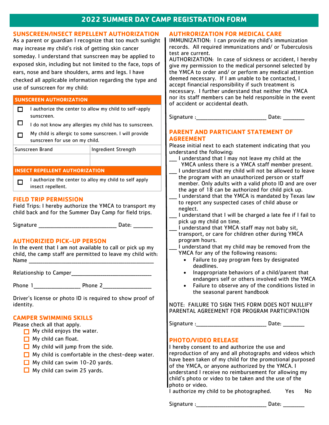#### **2022 SUMMER DAY CAMP REGISTRATION FORM**

#### **SUNSCREEN/INSECT REPELLENT AUTHORIZATION**

As a parent or guardian I recognize that too much sunlight may increase my child's risk of getting skin cancer someday. I understand that sunscreen may be applied to exposed skin, including but not limited to the face, tops of ears, nose and bare shoulders, arms and legs. I have checked all applicable information regarding the type and use of sunscreen for my child:

#### **SUNSCREEN AUTHORIZATION**

 $\Box$  I authorize the center to allow my child to self-apply sunscreen.

0 I do not know any allergies my child has to sunscreen.

My child is allergic to some sunscreen. I will provide  $\Box$ sunscreen for use on my child.

| Sunscreen Brand | Ingredient Strength |
|-----------------|---------------------|
|-----------------|---------------------|

#### **INSECT REPELLENT AUTHORIZATION**

I authorize the center to alloy my child to self apply  $\Box$ insect repellent.

#### **FIELD TRIP PERMISSION**

Field Trips: I hereby authorize the YMCA to transport my child back and for the Summer Day Camp for field trips.

Signature **Example 20** and  $\overline{a}$  Date:

#### **AUTHORIZIED PICK-UP PERSON**

In the event that I am not available to call or pick up my child, the camp staff are permitted to leave my child with: Name

Relationship to Camper\_\_\_\_\_\_\_\_\_\_\_\_\_\_\_\_\_\_\_\_\_\_\_\_\_\_\_\_\_\_\_\_\_\_\_\_\_\_\_\_\_

Phone 1 and Phone 2

Driver's license or photo ID is required to show proof of identity.

#### **CAMPER SWIMMING SKILLS**

Please check all that apply.

- $\Box$  My child enjoys the water.
- $\Box$  My child can float.
- $\Box$  My child will jump from the side.
- $\Box$  My child is comfortable in the chest-deep water.
- $\Box$  My child can swim 10-20 yards.
- $\Box$  My child can swim 25 yards.

#### **AUTHRORIZATION FOR MEDICAL CARE**

IMMUNIZATION: I can provide my child's immunization records. All required immunizations and/ or Tuberculosis test are current.

AUTHORIZATION: In case of sickness or accident, I hereby give my permission to the medical personnel selected by the YMCA to order and/ or perform any medical attention deemed necessary. If I am unable to be contacted, I accept financial responsibility if such treatment is necessary. I further understand that neither the YMCA nor its staff members can be held responsible in the event of accident or accidental death.

Signature :\_\_\_\_\_\_\_\_\_\_\_\_\_\_\_\_\_\_\_\_\_\_\_\_\_\_\_\_\_\_\_\_\_\_\_\_ Date: \_\_\_\_\_\_\_\_\_\_\_

#### **PARENT AND PARTICIANT STATEMENT OF AGREEMENT**

Please initial next to each statement indicating that you understand the following:

- \_\_\_\_ I understand that I may not leave my child at the YMCA unless there is a YMCA staff member present.
- I understand that my child will not be allowed to leave the program with an unauthorized person or staff member. Only adults with a valid photo ID and are over the age of 18 can be authorized for child pick up.
- I understand that the YMCA is mandated by Texas law to report any suspected cases of child abuse or neglect.
- I understand that I will be charged a late fee if I fail to pick up my child on time.
- \_\_\_\_ I understand that YMCA staff may not baby sit, transport, or care for children other during YMCA program hours.
- I understand that my child may be removed from the YMCA for any of the following reasons:
	- Failure to pay program fees by designated deadlines.
	- Inappropriate behaviors of a child/parent that endangers self or others involved with the YMCA
	- Failure to observe any of the conditions listed in the seasonal parent handbook

NOTE: FAILURE TO SIGN THIS FORM DOES NOT NULLIFY PARENTAL AGREEMENT FOR PROGRAM PARTICIPATION

Signature :\_\_\_\_\_\_\_\_\_\_\_\_\_\_\_\_\_\_\_\_\_\_\_\_\_\_\_\_\_\_\_\_\_\_\_\_ Date: \_\_\_\_\_\_\_\_\_\_\_

#### **PHOTO/VIDEO RELEASE**

I hereby consent to and authorize the use and reproduction of any and all photographs and videos which have been taken of my child for the promotional purposed of the YMCA, or anyone authorized by the YMCA. I understand I receive no reimbursement for allowing my child's photo or video to be taken and the use of the photo or video.

I authorize my child to be photographed. Yes No

Signature :\_\_\_\_\_\_\_\_\_\_\_\_\_\_\_\_\_\_\_\_\_\_\_\_\_\_\_\_\_\_\_\_\_\_\_\_ Date: \_\_\_\_\_\_\_\_\_\_\_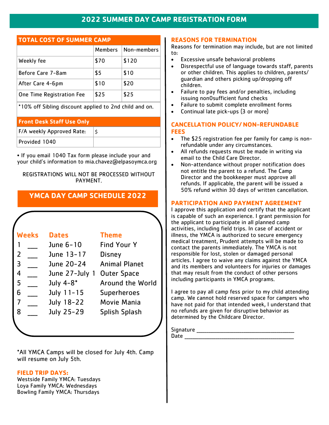#### **2022 SUMMER DAY CAMP REGISTRATION FORM**

#### **TOTAL COST OF SUMMER CAMP**

|                           | Members | Non-members |
|---------------------------|---------|-------------|
| Weekly fee                | \$70    | \$120       |
| Before Care 7-8am         | \$5     | \$10        |
| After Care 4-6pm          | \$10    | \$20        |
| One Time Registration Fee | \$25    | \$25        |

\*10% off Sibling discount applied to 2nd child and on.

#### **Front Desk Staff Use Only**

| F/A weekly Approved Rate: |  |
|---------------------------|--|
| Provided 1040             |  |

• If you email 1040 Tax form please include your and your child's information to mia.chavez@elpasoymca.org

#### REGISTRATIONS WILL NOT BE PROCESSED WITHOUT PAYMENT.

#### **YMCA DAY CAMP SCHEDULE 2022**

|                | <b>Weeks</b> | <b>Dates</b>   | <b>Theme</b>         |
|----------------|--------------|----------------|----------------------|
|                |              | June 6-10      | <b>Find Your Y</b>   |
| $\overline{2}$ |              | June 13-17     | <b>Disney</b>        |
| $\overline{3}$ |              | June 20-24     | <b>Animal Planet</b> |
| $\overline{4}$ |              | June 27-July 1 | <b>Outer Space</b>   |
| 5              |              | July 4-8*      | Around the World     |
| 6              |              | July 11-15     | <b>Superheroes</b>   |
| 7              |              | July 18-22     | Movie Mania          |
| 8              |              | July 25-29     | Splish Splash        |
|                |              |                |                      |

\*All YMCA Camps will be closed for July 4th. Camp will resume on July 5th.

#### **FIELD TRIP DAYS:**

Westside Family YMCA: Tuesdays Loya Family YMCA: Wednesdays Bowling Family YMCA: Thursdays

#### **REASONS FOR TERMINATION**

Reasons for termination may include, but are not limited to:

- Excessive unsafe behavioral problems
- Disrespectful use of language towards staff, parents or other children. This applies to children, parents/ guardian and others picking up/dropping off children.
- Failure to pay fees and/or penalties, including issuing non0sufficient fund checks
- Failure to submit complete enrollment forms
- Continual late pick-ups (3 or more)

#### **CANCELLATION POLICY/ NON-REFUNDABLE FEES**

- The \$25 registration fee per family for camp is nonrefundable under any circumstances.
- All refunds requests must be made in writing via email to the Child Care Director.
- Non-attendance without proper notification does not entitle the parent to a refund. The Camp Director and the bookkeeper must approve all refunds. If applicable, the parent will be issued a 50% refund within 30 days of written cancellation.

#### **PARTICIPATION AND PAYMENT AGREEMENT**

I approve this application and certify that the applicant is capable of such an experience. I grant permission for the applicant to participate in all planned camp activities, including field trips. In case of accident or illness, the YMCA is authorized to secure emergency medical treatment, Prudent attempts will be made to contact the parents immediately. The YMCA is not responsible for lost, stolen or damaged personal articles. I agree to waive any claims against the YMCA and its members and volunteers for injuries or damages that may result from the conduct of other persons including participants in YMCA programs.

I agree to pay all camp fess prior to my child attending camp. We cannot hold reserved space for campers who have not paid for that intended week, I understand that no refunds are given for disruptive behavior as determined by the Childcare Director.

Signature \_\_\_\_\_\_\_\_\_\_\_\_\_\_\_\_\_\_\_\_\_\_\_\_\_\_\_\_\_\_\_\_\_\_\_\_\_\_\_\_\_\_\_\_\_\_\_\_\_\_ Date \_\_\_\_\_\_\_\_\_\_\_\_\_\_\_\_\_\_\_\_\_\_\_\_\_\_\_\_\_\_\_\_\_\_\_\_\_\_\_\_\_\_\_\_\_\_\_\_\_\_\_\_\_\_\_\_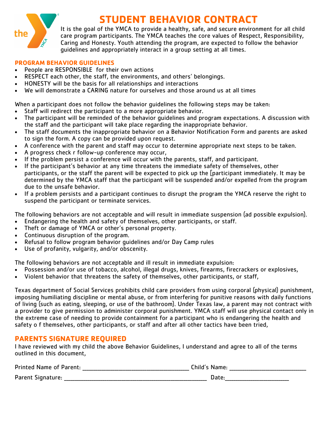

## **STUDENT BEHAVIOR CONTRACT**

It is the goal of the YMCA to provide a healthy, safe, and secure environment for all child care program participants. The YMCA teaches the core values of Respect, Responsibility, Caring and Honesty. Youth attending the program, are expected to follow the behavior guidelines and appropriately interact in a group setting at all times.

#### **PROGRAM BEHAVIOR GUIDELINES**

- People are RESPONSIBLE for their own actions
- RESPECT each other, the staff, the environments, and others' belongings.
- HONESTY will be the basis for all relationships and interactions
- We will demonstrate a CARING nature for ourselves and those around us at all times

When a participant does not follow the behavior guidelines the following steps may be taken:

- Staff will redirect the participant to a more appropriate behavior.
- The participant will be reminded of the behavior guidelines and program expectations. A discussion with the staff and the participant will take place regarding the inappropriate behavior.
- The staff documents the inappropriate behavior on a Behavior Notification Form and parents are asked to sign the form. A copy can be provided upon request.
- A conference with the parent and staff may occur to determine appropriate next steps to be taken.
- A progress check r follow-up conference may occur,
- If the problem persist a conference will occur with the parents, staff, and participant.
- If the participant's behavior at any time threatens the immediate safety of themselves, other participants, or the staff the parent will be expected to pick up the [participant immediately. It may be determined by the YMCA staff that the participant will be suspended and/or expelled from the program due to the unsafe behavior.
- If a problem persists and a participant continues to disrupt the program the YMCA reserve the right to suspend the participant or terminate services.

The following behaviors are not acceptable and will result in immediate suspension (ad possible expulsion).

- Endangering the health and safety of themselves, other participants, or staff.
- Theft or damage of YMCA or other's personal property.
- Continuous disruption of the program.
- Refusal to follow program behavior guidelines and/or Day Camp rules
- Use of profanity, vulgarity, and/or obscenity.

The following behaviors are not acceptable and ill result in immediate expulsion:

- Possession and/or use of tobacco, alcohol, illegal drugs, knives, firearms, firecrackers or explosives,
- Violent behavior that threatens the safety of themselves, other participants, or staff,

Texas department of Social Services prohibits child care providers from using corporal (physical) punishment, imposing humiliating discipline or mental abuse, or from interfering for punitive reasons with daily functions of living (such as eating, sleeping, or use of the bathroom). Under Texas law, a parent may not contract with a provider to give permission to administer corporal punishment. YMCA staff will use physical contact only in the extreme case of needing to provide containment for a participant who is endangering the health and safety o f themselves, other participants, or staff and after all other tactics have been tried,

### **PARENTS SIGNATURE REQUIRED**

I have reviewed with my child the above Behavior Guidelines, I understand and agree to all of the terms outlined in this document,

| <b>Printed Name of Parent:</b> | Child's Name: |
|--------------------------------|---------------|
| Parent Signature:              | Date:         |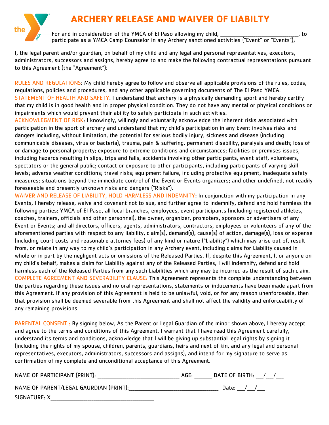## **ARCHERY RELEASE AND WAIVER OF LIABILTY**

For and in consideration of the YMCA of El Paso allowing my child, \_\_\_\_\_\_\_\_ participate as a YMCA Camp Counselor in any Archery sanctioned activities ("Event" or "Events");

I, the legal parent and/or guardian, on behalf of my child and any legal and personal representatives, executors, administrators, successors and assigns, hereby agree to and make the following contractual representations pursuant to this Agreement (the "Agreement"):

RULES AND REGULATIONS: My child hereby agree to follow and observe all applicable provisions of the rules, codes, regulations, policies and procedures, and any other applicable governing documents of The El Paso YMCA. STATEMENT OF HEALTH AND SAFETY: I understand that archery is a physically demanding sport and hereby certify that my child is in good health and in proper physical condition. They do not have any mental or physical conditions or impairments which would prevent their ability to safely participate in such activities.

ACKNOWLEGMENT OF RISK: I knowingly, willingly and voluntarily acknowledge the inherent risks associated with participation in the sport of archery and understand that my child's participation in any Event involves risks and dangers including, without limitation, the potential for serious bodily injury, sickness and disease (including communicable diseases, virus or bacteria), trauma, pain & suffering, permanent disability, paralysis and death; loss of or damage to personal property; exposure to extreme conditions and circumstances; facilities or premises issues, including hazards resulting in slips, trips and falls; accidents involving other participants, event staff, volunteers, spectators or the general public; contact or exposure to other participants, including participants of varying skill levels; adverse weather conditions; travel risks; equipment failure, including protective equipment; inadequate safety measures; situations beyond the immediate control of the Event or Events organizers; and other undefined, not readily foreseeable and presently unknown risks and dangers ("Risks").

WAIVER AND RELEASE OF LIABILITY, HOLD HARMLESS AND INDEMNITY: In conjunction with my participation in any Events, I hereby release, waive and covenant not to sue, and further agree to indemnify, defend and hold harmless the following parties: YMCA of El Paso, all local branches, employees, event participants (including registered athletes, coaches, trainers, officials and other personnel), the owner, organizer, promoters, sponsors or advertisers of any Event or Events; and all directors, officers, agents, administrators, contractors, employees or volunteers of any of the aforementioned parties with respect to any liability, claim(s), demand(s), cause(s) of action, damage(s), loss or expense (including court costs and reasonable attorney fees) of any kind or nature ("Liability") which may arise out of, result from, or relate in any way to my child's participation in any Archery event, including claims for Liability caused in whole or in part by the negligent acts or omissions of the Released Parties. If, despite this Agreement, I, or anyone on my child's behalf, makes a claim for Liability against any of the Released Parties, I will indemnify, defend and hold harmless each of the Released Parties from any such Liabilities which any may be incurred as the result of such claim. COMPLETE AGREEMENT AND SEVERABILITY CLAUSE: This Agreement represents the complete understanding between the parties regarding these issues and no oral representations, statements or inducements have been made apart from this Agreement. If any provision of this Agreement is held to be unlawful, void, or for any reason unenforceable, then that provision shall be deemed severable from this Agreement and shall not affect the validity and enforceability of any remaining provisions.

PARENTAL CONSENT : By signing below, As the Parent or Legal Guardian of the minor shown above, I hereby accept and agree to the terms and conditions of this Agreement. I warrant that I have read this Agreement carefully, understand its terms and conditions, acknowledge that I will be giving up substantial legal rights by signing it (including the rights of my spouse, children, parents, guardians, heirs and next of kin, and any legal and personal representatives, executors, administrators, successors and assigns), and intend for my signature to serve as confirmation of my complete and unconditional acceptance of this Agreement.

| NAME OF PARTICIPANT (PRINT) |  |  | DATE OF BIRTH: |  |  |  |
|-----------------------------|--|--|----------------|--|--|--|
|-----------------------------|--|--|----------------|--|--|--|

NAME OF PARENT/LEGAL GAURDIAN (PRINT):\_\_\_\_\_\_\_\_\_\_\_\_\_\_\_\_\_\_\_\_\_\_\_\_\_\_\_\_\_\_\_\_\_\_\_\_\_\_\_\_\_\_\_\_\_\_ Date: \_\_\_\_/\_\_\_\_/\_\_\_\_

SIGNATURE: X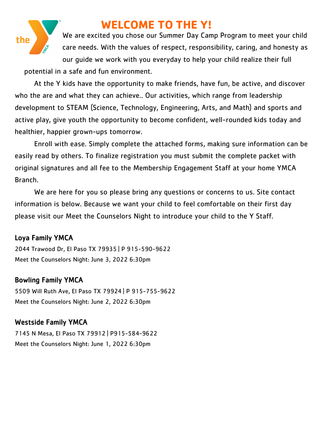

## **WELCOME TO THE Y!**

We are excited you chose our Summer Day Camp Program to meet your child care needs. With the values of respect, responsibility, caring, and honesty as our guide we work with you everyday to help your child realize their full potential in a safe and fun environment.

At the Y kids have the opportunity to make friends, have fun, be active, and discover who the are and what they can achieve.. Our activities, which range from leadership development to STEAM (Science, Technology, Engineering, Arts, and Math) and sports and active play, give youth the opportunity to become confident, well-rounded kids today and healthier, happier grown-ups tomorrow.

Enroll with ease. Simply complete the attached forms, making sure information can be easily read by others. To finalize registration you must submit the complete packet with original signatures and all fee to the Membership Engagement Staff at your home YMCA Branch.

We are here for you so please bring any questions or concerns to us. Site contact information is below. Because we want your child to feel comfortable on their first day please visit our Meet the Counselors Night to introduce your child to the Y Staff.

#### Loya Family YMCA

2044 Trawood Dr, El Paso TX 79935 | P 915-590-9622 Meet the Counselors Night: June 3, 2022 6:30pm

#### Bowling Family YMCA

5509 Will Ruth Ave, El Paso TX 79924 | P 915-755-9622 Meet the Counselors Night: June 2, 2022 6:30pm

#### Westside Family YMCA

7145 N Mesa, El Paso TX 79912 | P915-584-9622 Meet the Counselors Night: June 1, 2022 6:30pm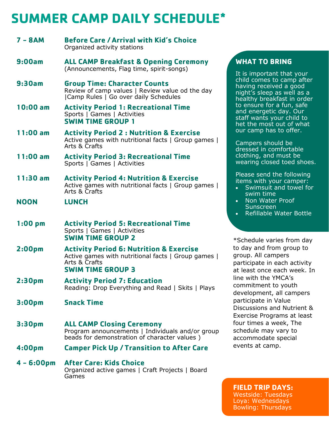# **SUMMER CAMP DAILY SCHEDULE\***

| $7 - 8AM$          | <b>Before Care / Arrival with Kid's Choice</b><br>Organized activity stations                                                                          |
|--------------------|--------------------------------------------------------------------------------------------------------------------------------------------------------|
| 9:00am             | <b>ALL CAMP Breakfast &amp; Opening Ceremony</b><br>(Announcements, Flag time, spirit-songs)                                                           |
| 9:30am             | <b>Group Time: Character Counts</b><br>Review of camp values   Review value od the day<br> Camp Rules   Go over daily Schedules                        |
| $10:00$ am         | <b>Activity Period 1: Recreational Time</b><br>Sports   Games   Activities<br><b>SWIM TIME GROUP 1</b>                                                 |
| $11:00$ am         | <b>Activity Period 2: Nutrition &amp; Exercise</b><br>Active games with nutritional facts   Group games  <br>Arts & Crafts                             |
| $11:00$ am         | <b>Activity Period 3: Recreational Time</b><br>Sports   Games   Activities                                                                             |
| $11:30$ am         | <b>Activity Period 4: Nutrition &amp; Exercise</b><br>Active games with nutritional facts   Group games  <br>Arts & Crafts                             |
| <b>NOON</b>        | <b>LUNCH</b>                                                                                                                                           |
| $1:00$ pm          | <b>Activity Period 5: Recreational Time</b><br>Sports   Games   Activities<br><b>SWIM TIME GROUP 2</b>                                                 |
| 2:00 <sub>pm</sub> | <b>Activity Period 6: Nutrition &amp; Exercise</b><br>Active games with nutritional facts   Group games  <br>Arts & Crafts<br><b>SWIM TIME GROUP 3</b> |
| 2:30 <sub>pm</sub> | <b>Activity Period 7: Education</b><br>Reading: Drop Everything and Read   Skits   Plays                                                               |
| 3:00 <sub>pm</sub> | <b>Snack Time</b>                                                                                                                                      |
| 3:30 <sub>pm</sub> | <b>ALL CAMP Closing Ceremony</b><br>Program announcements   Individuals and/or group<br>beads for demonstration of character values)                   |
| 4:00pm             | <b>Camper Pick Up / Transition to After Care</b>                                                                                                       |
| $4 - 6:00pm$       | <b>After Care: Kids Choice</b><br>Organized active games   Craft Projects   Board<br>Games                                                             |

#### **WHAT TO BRING**

It is important that your child comes to camp after having received a good night's sleep as well as a healthy breakfast in order to ensure for a fun, safe and energetic day. Our staff wants your child to het the most out of what our camp has to offer.

Campers should be dressed in comfortable clothing, and must be wearing closed toed shoes.

Please send the following items with your camper:

- Swimsuit and towel for swim time
- Non Water Proof **Sunscreen**
- Refillable Water Bottle

\*Schedule varies from day to day and from group to group. All campers participate in each activity at least once each week. In line with the YMCA's commitment to youth development, all campers participate in Value Discussions and Nutrient & Exercise Programs at least four times a week, The schedule may vary to accommodate special events at camp.

#### **FIELD TRIP DAYS:** Westside: Tuesdays Loya: Wednesdays Bowling: Thursdays